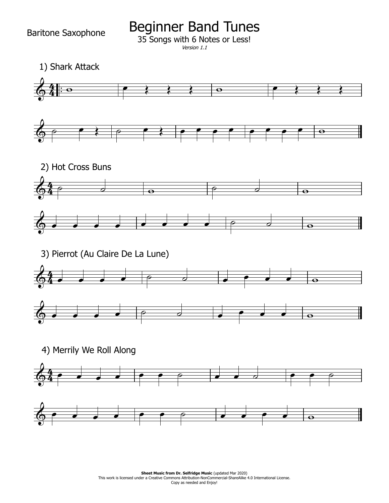Baritone Saxophone

Beginner Band Tunes

35 Songs with 6 Notes or Less!

```
Version 1.1
```
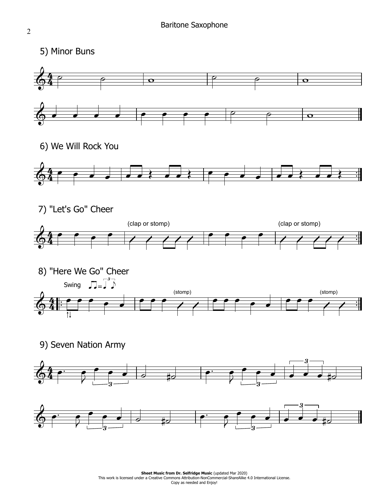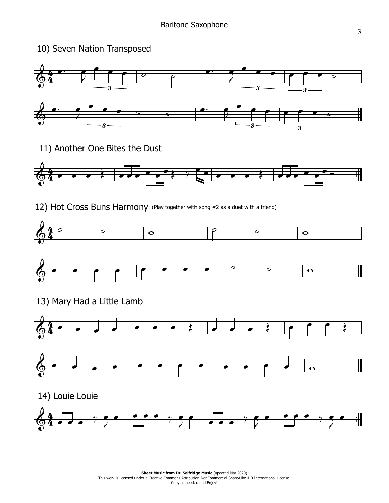## 10) Seven Nation Transposed



11) Another One Bites the Dust



12) Hot Cross Buns Harmony (Play together with song #2 as <sup>a</sup> duet with <sup>a</sup> friend)





13) Mary Had a Little Lamb

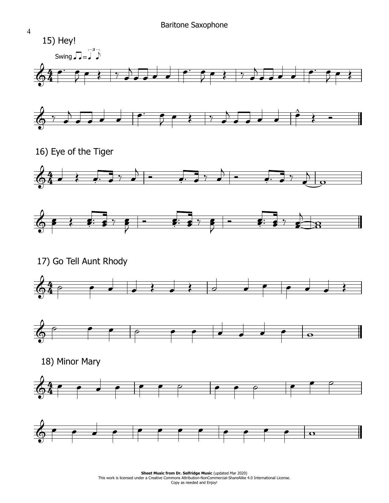

**Sheet Music from Dr. Selfridge Music (updated Mar 2020) Sheet Music from Dr. Selfridge Music** (updated Mar 2020)<br>This work is licensed under a Creative Commons Attribution-NonCommercial-ShareAlike 4.0 International License. Copy as needed and Enjoy!

4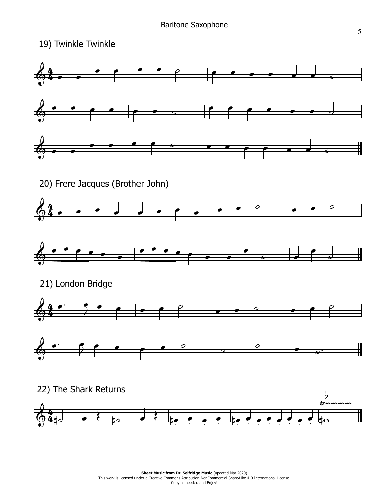19) Twinkle Twinkle

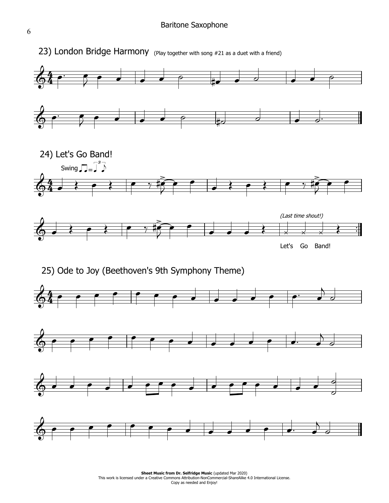## Baritone Saxophone



**Sheet Music from Dr. Selfridge Music (updated Mar 2020) Sheet Music from Dr. Selfridge Music** (updated Mar 2020)<br>This work is licensed under a Creative Commons Attribution-NonCommercial-ShareAlike 4.0 International License. Copy as needed and Enjoy!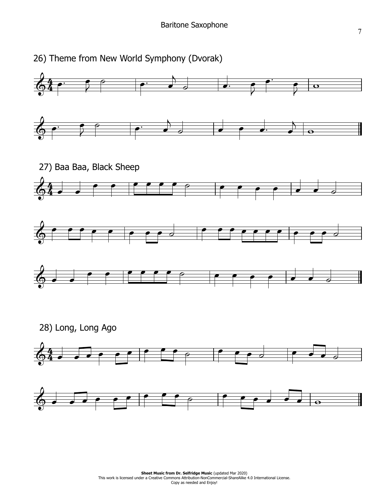

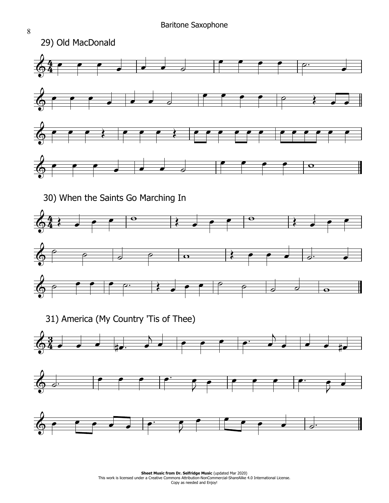